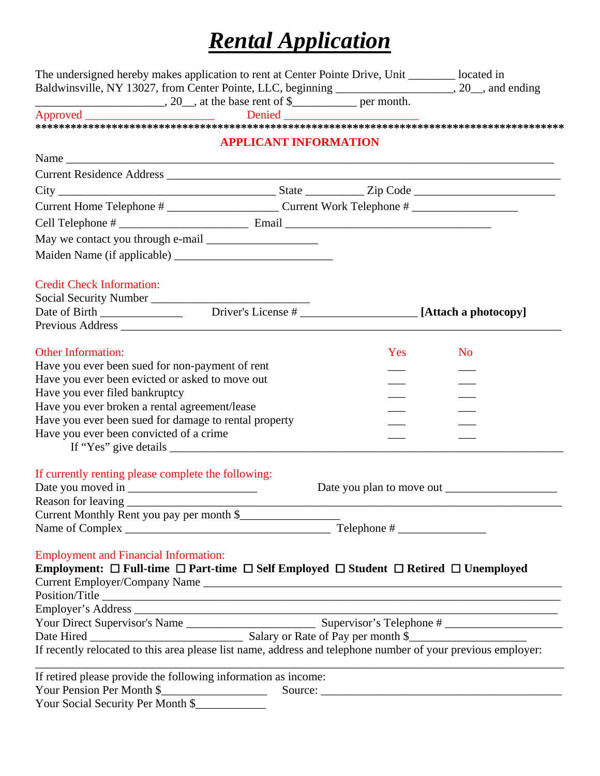## *Rental Application*

| Baldwinsville, NY 13027, from Center Pointe, LLC, beginning __________________, 20_, and ending<br>$\frac{1}{20}$ , at the base rent of \$ |                  |
|--------------------------------------------------------------------------------------------------------------------------------------------|------------------|
|                                                                                                                                            |                  |
|                                                                                                                                            |                  |
| <b>APPLICANT INFORMATION</b>                                                                                                               |                  |
|                                                                                                                                            |                  |
|                                                                                                                                            |                  |
|                                                                                                                                            |                  |
|                                                                                                                                            |                  |
|                                                                                                                                            |                  |
|                                                                                                                                            |                  |
|                                                                                                                                            |                  |
| <b>Credit Check Information:</b>                                                                                                           |                  |
| Social Security Number                                                                                                                     |                  |
|                                                                                                                                            |                  |
|                                                                                                                                            |                  |
| <b>Other Information:</b>                                                                                                                  | Yes<br><b>No</b> |
| Have you ever been sued for non-payment of rent                                                                                            |                  |
| Have you ever been evicted or asked to move out                                                                                            |                  |
| Have you ever filed bankruptcy                                                                                                             |                  |
| Have you ever broken a rental agreement/lease                                                                                              |                  |
| Have you ever been sued for damage to rental property                                                                                      |                  |
| Have you ever been convicted of a crime                                                                                                    |                  |
| If "Yes" give details                                                                                                                      |                  |
|                                                                                                                                            |                  |
| If currently renting please complete the following:                                                                                        |                  |
|                                                                                                                                            |                  |
|                                                                                                                                            |                  |
| Current Monthly Rent you pay per month \$                                                                                                  |                  |
|                                                                                                                                            |                  |
| <b>Employment and Financial Information:</b>                                                                                               |                  |
| Employment: $\Box$ Full-time $\Box$ Part-time $\Box$ Self Employed $\Box$ Student $\Box$ Retired $\Box$ Unemployed                         |                  |
|                                                                                                                                            |                  |
| Position/Title                                                                                                                             |                  |
|                                                                                                                                            |                  |
|                                                                                                                                            |                  |
|                                                                                                                                            |                  |
| If recently relocated to this area please list name, address and telephone number of your previous employer:                               |                  |
| If retired please provide the following information as income:                                                                             |                  |
| Your Pension Per Month \$                                                                                                                  |                  |
| Your Social Security Per Month \$                                                                                                          |                  |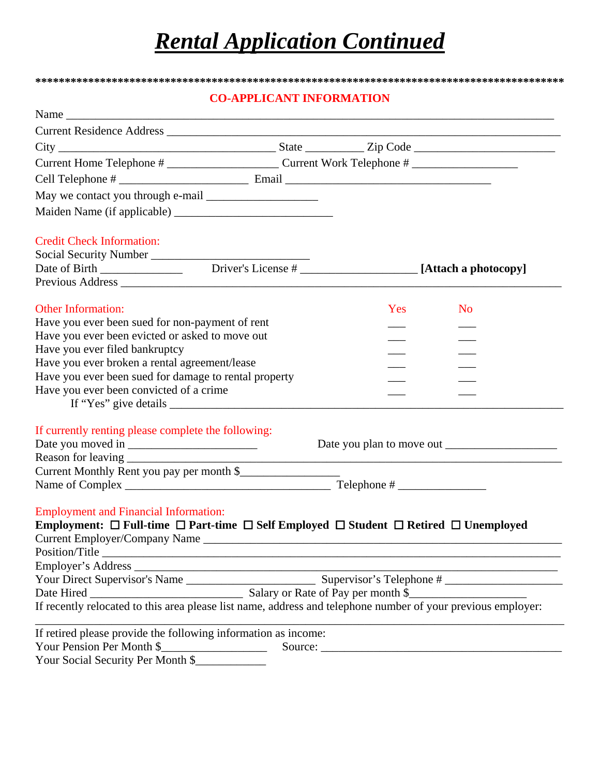## *Rental Application Continued*

### **\*\*\*\*\*\*\*\*\*\*\*\*\*\*\*\*\*\*\*\*\*\*\*\*\*\*\*\*\*\*\*\*\*\*\*\*\*\*\*\*\*\*\*\*\*\*\*\*\*\*\*\*\*\*\*\*\*\*\*\*\*\*\*\*\*\*\*\*\*\*\*\*\*\*\*\*\*\*\*\*\*\*\*\*\*\*\*\*\*\* CO-APPLICANT INFORMATION**

| <b>No</b>                                                                                                                                                                                                                                                                                                                                                                                                                                                                                |
|------------------------------------------------------------------------------------------------------------------------------------------------------------------------------------------------------------------------------------------------------------------------------------------------------------------------------------------------------------------------------------------------------------------------------------------------------------------------------------------|
|                                                                                                                                                                                                                                                                                                                                                                                                                                                                                          |
|                                                                                                                                                                                                                                                                                                                                                                                                                                                                                          |
|                                                                                                                                                                                                                                                                                                                                                                                                                                                                                          |
|                                                                                                                                                                                                                                                                                                                                                                                                                                                                                          |
|                                                                                                                                                                                                                                                                                                                                                                                                                                                                                          |
|                                                                                                                                                                                                                                                                                                                                                                                                                                                                                          |
|                                                                                                                                                                                                                                                                                                                                                                                                                                                                                          |
|                                                                                                                                                                                                                                                                                                                                                                                                                                                                                          |
|                                                                                                                                                                                                                                                                                                                                                                                                                                                                                          |
|                                                                                                                                                                                                                                                                                                                                                                                                                                                                                          |
|                                                                                                                                                                                                                                                                                                                                                                                                                                                                                          |
|                                                                                                                                                                                                                                                                                                                                                                                                                                                                                          |
|                                                                                                                                                                                                                                                                                                                                                                                                                                                                                          |
|                                                                                                                                                                                                                                                                                                                                                                                                                                                                                          |
|                                                                                                                                                                                                                                                                                                                                                                                                                                                                                          |
|                                                                                                                                                                                                                                                                                                                                                                                                                                                                                          |
|                                                                                                                                                                                                                                                                                                                                                                                                                                                                                          |
|                                                                                                                                                                                                                                                                                                                                                                                                                                                                                          |
|                                                                                                                                                                                                                                                                                                                                                                                                                                                                                          |
|                                                                                                                                                                                                                                                                                                                                                                                                                                                                                          |
|                                                                                                                                                                                                                                                                                                                                                                                                                                                                                          |
|                                                                                                                                                                                                                                                                                                                                                                                                                                                                                          |
|                                                                                                                                                                                                                                                                                                                                                                                                                                                                                          |
| Name<br>Yes<br>Have you ever been sued for damage to rental property<br>Current Monthly Rent you pay per month \$<br>Employment: $\Box$ Full-time $\Box$ Part-time $\Box$ Self Employed $\Box$ Student $\Box$ Retired $\Box$ Unemployed<br><u> 1989 - Johann Barbara, martxa al III-lea (h. 1989).</u><br>If recently relocated to this area please list name, address and telephone number of your previous employer:<br>If retired please provide the following information as income: |